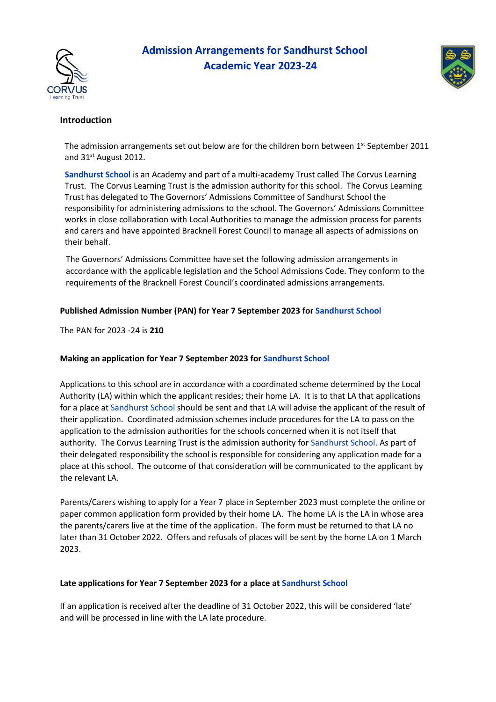

# **Admission Arrangements for Sandhurst School Academic Year 2023-24**



## **Introduction**

The admission arrangements set out below are for the children born between 1<sup>st</sup> September 2011 and 31<sup>st</sup> August 2012.

**Sandhurst School** is an Academy and part of a multi-academy Trust called The Corvus Learning Trust. The Corvus Learning Trust is the admission authority for this school. The Corvus Learning Trust has delegated to The Governors' Admissions Committee of Sandhurst School the responsibility for administering admissions to the school. The Governors' Admissions Committee works in close collaboration with Local Authorities to manage the admission process for parents and carers and have appointed Bracknell Forest Council to manage all aspects of admissions on their behalf.

The Governors' Admissions Committee have set the following admission arrangements in accordance with the applicable legislation and the School Admissions Code. They conform to the requirements of the Bracknell Forest Council's coordinated admissions arrangements.

## **Published Admission Number (PAN) for Year 7 September 2023 for Sandhurst School**

The PAN for 2023 -24 is **210**

## **Making an application for Year 7 September 2023 for Sandhurst School**

Applications to this school are in accordance with a coordinated scheme determined by the Local Authority (LA) within which the applicant resides; their home LA. It is to that LA that applications for a place at Sandhurst School should be sent and that LA will advise the applicant of the result of their application. Coordinated admission schemes include procedures for the LA to pass on the application to the admission authorities for the schools concerned when it is not itself that authority. The Corvus Learning Trust is the admission authority for Sandhurst School. As part of their delegated responsibility the school is responsible for considering any application made for a place at this school. The outcome of that consideration will be communicated to the applicant by the relevant LA.

Parents/Carers wishing to apply for a Year 7 place in September 2023 must complete the online or paper common application form provided by their home LA. The home LA is the LA in whose area the parents/carers live at the time of the application. The form must be returned to that LA no later than 31 October 2022. Offers and refusals of places will be sent by the home LA on 1 March 2023.

#### **Late applications for Year 7 September 2023 for a place at Sandhurst School**

If an application is received after the deadline of 31 October 2022, this will be considered 'late' and will be processed in line with the LA late procedure.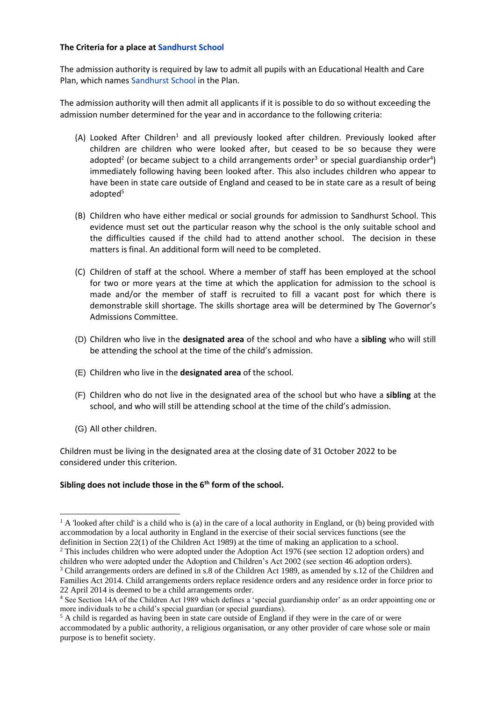#### **The Criteria for a place at Sandhurst School**

The admission authority is required by law to admit all pupils with an Educational Health and Care Plan, which names Sandhurst School in the Plan.

The admission authority will then admit all applicants if it is possible to do so without exceeding the admission number determined for the year and in accordance to the following criteria:

- (A) Looked After Children<sup>1</sup> and all previously looked after children. Previously looked after children are children who were looked after, but ceased to be so because they were adopted<sup>2</sup> (or became subject to a child arrangements order<sup>3</sup> or special guardianship order<sup>4</sup>) immediately following having been looked after. This also includes children who appear to have been in state care outside of England and ceased to be in state care as a result of being adopted<sup>5</sup>
- (B) Children who have either medical or social grounds for admission to Sandhurst School. This evidence must set out the particular reason why the school is the only suitable school and the difficulties caused if the child had to attend another school. The decision in these matters is final. An additional form will need to be completed.
- (C) Children of staff at the school. Where a member of staff has been employed at the school for two or more years at the time at which the application for admission to the school is made and/or the member of staff is recruited to fill a vacant post for which there is demonstrable skill shortage. The skills shortage area will be determined by The Governor's Admissions Committee.
- (D) Children who live in the **designated area** of the school and who have a **sibling** who will still be attending the school at the time of the child's admission.
- (E) Children who live in the **designated area** of the school.
- (F) Children who do not live in the designated area of the school but who have a **sibling** at the school, and who will still be attending school at the time of the child's admission.
- (G) All other children.

Children must be living in the designated area at the closing date of 31 October 2022 to be considered under this criterion.

## **Sibling does not include those in the 6th form of the school.**

<sup>2</sup> This includes children who were adopted under the Adoption Act 1976 (see section 12 adoption orders) and children who were adopted under the Adoption and Children's Act 2002 (see section 46 adoption orders).

<sup>&</sup>lt;sup>1</sup> A 'looked after child' is a child who is (a) in the care of a local authority in England, or (b) being provided with accommodation by a local authority in England in the exercise of their social services functions (see the definition in Section 22(1) of the Children Act 1989) at the time of making an application to a school.

<sup>3</sup> Child arrangements orders are defined in s.8 of the Children Act 1989, as amended by s.12 of the Children and Families Act 2014. Child arrangements orders replace residence orders and any residence order in force prior to 22 April 2014 is deemed to be a child arrangements order.

<sup>&</sup>lt;sup>4</sup> See Section 14A of the Children Act 1989 which defines a 'special guardianship order' as an order appointing one or more individuals to be a child's special guardian (or special guardians).

<sup>5</sup> A child is regarded as having been in state care outside of England if they were in the care of or were accommodated by a public authority, a religious organisation, or any other provider of care whose sole or main purpose is to benefit society.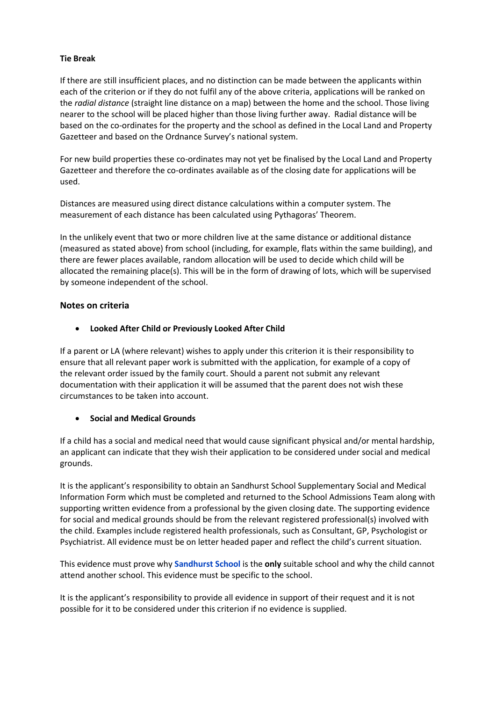## **Tie Break**

If there are still insufficient places, and no distinction can be made between the applicants within each of the criterion or if they do not fulfil any of the above criteria, applications will be ranked on the *radial distance* (straight line distance on a map) between the home and the school. Those living nearer to the school will be placed higher than those living further away. Radial distance will be based on the co-ordinates for the property and the school as defined in the Local Land and Property Gazetteer and based on the Ordnance Survey's national system.

For new build properties these co-ordinates may not yet be finalised by the Local Land and Property Gazetteer and therefore the co-ordinates available as of the closing date for applications will be used.

Distances are measured using direct distance calculations within a computer system. The measurement of each distance has been calculated using Pythagoras' Theorem.

In the unlikely event that two or more children live at the same distance or additional distance (measured as stated above) from school (including, for example, flats within the same building), and there are fewer places available, random allocation will be used to decide which child will be allocated the remaining place(s). This will be in the form of drawing of lots, which will be supervised by someone independent of the school.

## **Notes on criteria**

• **Looked After Child or Previously Looked After Child**

If a parent or LA (where relevant) wishes to apply under this criterion it is their responsibility to ensure that all relevant paper work is submitted with the application, for example of a copy of the relevant order issued by the family court. Should a parent not submit any relevant documentation with their application it will be assumed that the parent does not wish these circumstances to be taken into account.

## • **Social and Medical Grounds**

If a child has a social and medical need that would cause significant physical and/or mental hardship, an applicant can indicate that they wish their application to be considered under social and medical grounds.

It is the applicant's responsibility to obtain an Sandhurst School Supplementary Social and Medical Information Form which must be completed and returned to the School Admissions Team along with supporting written evidence from a professional by the given closing date. The supporting evidence for social and medical grounds should be from the relevant registered professional(s) involved with the child. Examples include registered health professionals, such as Consultant, GP, Psychologist or Psychiatrist. All evidence must be on letter headed paper and reflect the child's current situation.

This evidence must prove why **Sandhurst School** is the **only** suitable school and why the child cannot attend another school. This evidence must be specific to the school.

It is the applicant's responsibility to provide all evidence in support of their request and it is not possible for it to be considered under this criterion if no evidence is supplied.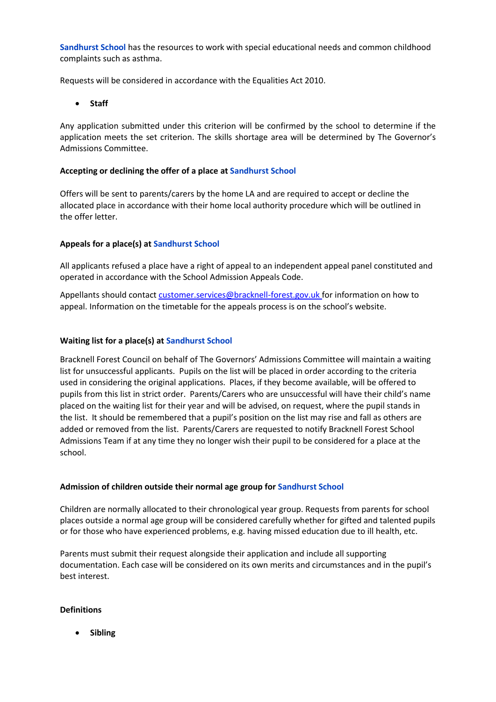**Sandhurst School** has the resources to work with special educational needs and common childhood complaints such as asthma.

Requests will be considered in accordance with the Equalities Act 2010.

• **Staff**

Any application submitted under this criterion will be confirmed by the school to determine if the application meets the set criterion. The skills shortage area will be determined by The Governor's Admissions Committee.

## **Accepting or declining the offer of a place at Sandhurst School**

Offers will be sent to parents/carers by the home LA and are required to accept or decline the allocated place in accordance with their home local authority procedure which will be outlined in the offer letter.

## **Appeals for a place(s) at Sandhurst School**

All applicants refused a place have a right of appeal to an independent appeal panel constituted and operated in accordance with the School Admission Appeals Code.

Appellants should contact customer.services@bracknell-forest.gov.uk for information on how to appeal. Information on the timetable for the appeals process is on the school's website.

## **Waiting list for a place(s) at Sandhurst School**

Bracknell Forest Council on behalf of The Governors' Admissions Committee will maintain a waiting list for unsuccessful applicants. Pupils on the list will be placed in order according to the criteria used in considering the original applications. Places, if they become available, will be offered to pupils from this list in strict order. Parents/Carers who are unsuccessful will have their child's name placed on the waiting list for their year and will be advised, on request, where the pupil stands in the list. It should be remembered that a pupil's position on the list may rise and fall as others are added or removed from the list. Parents/Carers are requested to notify Bracknell Forest School Admissions Team if at any time they no longer wish their pupil to be considered for a place at the school.

#### **Admission of children outside their normal age group for Sandhurst School**

Children are normally allocated to their chronological year group. Requests from parents for school places outside a normal age group will be considered carefully whether for gifted and talented pupils or for those who have experienced problems, e.g. having missed education due to ill health, etc.

Parents must submit their request alongside their application and include all supporting documentation. Each case will be considered on its own merits and circumstances and in the pupil's best interest.

#### **Definitions**

• **Sibling**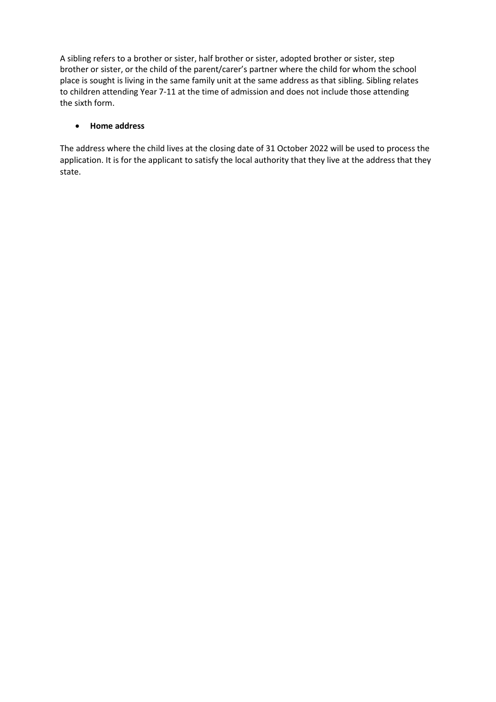A sibling refers to a brother or sister, half brother or sister, adopted brother or sister, step brother or sister, or the child of the parent/carer's partner where the child for whom the school place is sought is living in the same family unit at the same address as that sibling. Sibling relates to children attending Year 7-11 at the time of admission and does not include those attending the sixth form.

## • **Home address**

The address where the child lives at the closing date of 31 October 2022 will be used to process the application. It is for the applicant to satisfy the local authority that they live at the address that they state.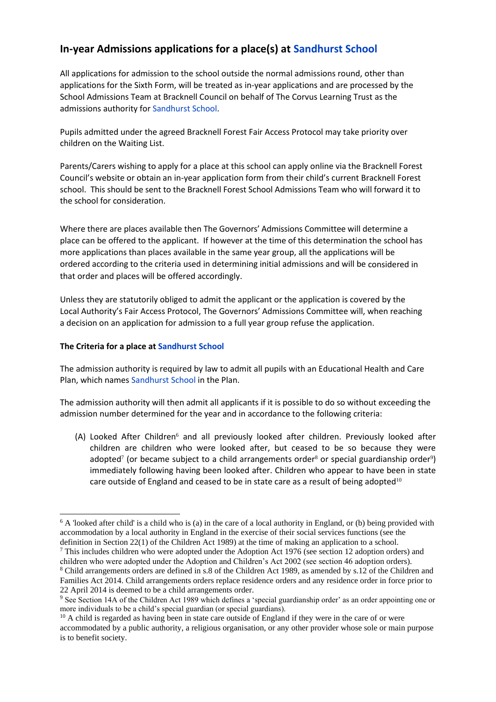## **In-year Admissions applications for a place(s) at Sandhurst School**

All applications for admission to the school outside the normal admissions round, other than applications for the Sixth Form, will be treated as in‐year applications and are processed by the School Admissions Team at Bracknell Council on behalf of The Corvus Learning Trust as the admissions authority for Sandhurst School.

Pupils admitted under the agreed Bracknell Forest Fair Access Protocol may take priority over children on the Waiting List.

Parents/Carers wishing to apply for a place at this school can apply online via the Bracknell Forest Council's website or obtain an in-year application form from their child's current Bracknell Forest school. This should be sent to the Bracknell Forest School Admissions Team who will forward it to the school for consideration.

Where there are places available then The Governors' Admissions Committee will determine a place can be offered to the applicant. If however at the time of this determination the school has more applications than places available in the same year group, all the applications will be ordered according to the criteria used in determining initial admissions and will be considered in that order and places will be offered accordingly.

Unless they are statutorily obliged to admit the applicant or the application is covered by the Local Authority's Fair Access Protocol, The Governors' Admissions Committee will, when reaching a decision on an application for admission to a full year group refuse the application.

## **The Criteria for a place at Sandhurst School**

The admission authority is required by law to admit all pupils with an Educational Health and Care Plan, which names Sandhurst School in the Plan.

The admission authority will then admit all applicants if it is possible to do so without exceeding the admission number determined for the year and in accordance to the following criteria:

(A) Looked After Children<sup>6</sup> and all previously looked after children. Previously looked after children are children who were looked after, but ceased to be so because they were adopted<sup>7</sup> (or became subject to a child arrangements order<sup>8</sup> or special guardianship order<sup>9</sup>) immediately following having been looked after. Children who appear to have been in state care outside of England and ceased to be in state care as a result of being adopted<sup>10</sup>

<sup>7</sup> This includes children who were adopted under the Adoption Act 1976 (see section 12 adoption orders) and children who were adopted under the Adoption and Children's Act 2002 (see section 46 adoption orders).

<sup>&</sup>lt;sup>6</sup> A 'looked after child' is a child who is (a) in the care of a local authority in England, or (b) being provided with accommodation by a local authority in England in the exercise of their social services functions (see the definition in Section 22(1) of the Children Act 1989) at the time of making an application to a school.

<sup>8</sup> Child arrangements orders are defined in s.8 of the Children Act 1989, as amended by s.12 of the Children and Families Act 2014. Child arrangements orders replace residence orders and any residence order in force prior to 22 April 2014 is deemed to be a child arrangements order.

<sup>&</sup>lt;sup>9</sup> See Section 14A of the Children Act 1989 which defines a 'special guardianship order' as an order appointing one or more individuals to be a child's special guardian (or special guardians).

<sup>&</sup>lt;sup>10</sup> A child is regarded as having been in state care outside of England if they were in the care of or were accommodated by a public authority, a religious organisation, or any other provider whose sole or main purpose is to benefit society.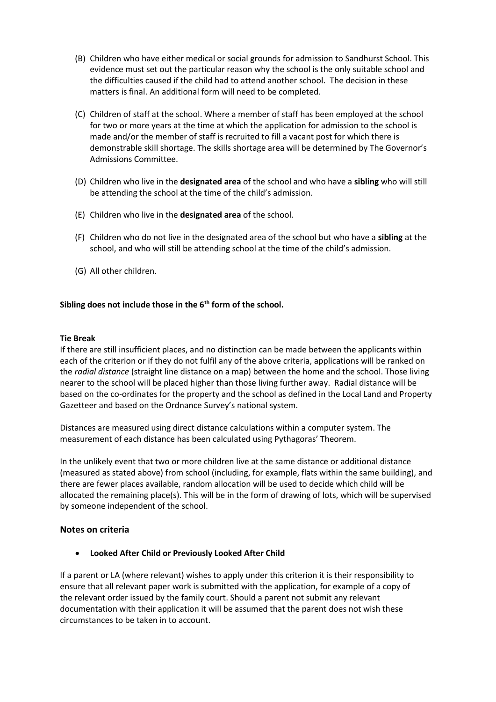- (B) Children who have either medical or social grounds for admission to Sandhurst School. This evidence must set out the particular reason why the school is the only suitable school and the difficulties caused if the child had to attend another school. The decision in these matters is final. An additional form will need to be completed.
- (C) Children of staff at the school. Where a member of staff has been employed at the school for two or more years at the time at which the application for admission to the school is made and/or the member of staff is recruited to fill a vacant post for which there is demonstrable skill shortage. The skills shortage area will be determined by The Governor's Admissions Committee.
- (D) Children who live in the **designated area** of the school and who have a **sibling** who will still be attending the school at the time of the child's admission.
- (E) Children who live in the **designated area** of the school.
- (F) Children who do not live in the designated area of the school but who have a **sibling** at the school, and who will still be attending school at the time of the child's admission.
- (G) All other children.

## **Sibling does not include those in the 6th form of the school.**

#### **Tie Break**

If there are still insufficient places, and no distinction can be made between the applicants within each of the criterion or if they do not fulfil any of the above criteria, applications will be ranked on the *radial distance* (straight line distance on a map) between the home and the school. Those living nearer to the school will be placed higher than those living further away. Radial distance will be based on the co-ordinates for the property and the school as defined in the Local Land and Property Gazetteer and based on the Ordnance Survey's national system.

Distances are measured using direct distance calculations within a computer system. The measurement of each distance has been calculated using Pythagoras' Theorem.

In the unlikely event that two or more children live at the same distance or additional distance (measured as stated above) from school (including, for example, flats within the same building), and there are fewer places available, random allocation will be used to decide which child will be allocated the remaining place(s). This will be in the form of drawing of lots, which will be supervised by someone independent of the school.

#### **Notes on criteria**

• **Looked After Child or Previously Looked After Child**

If a parent or LA (where relevant) wishes to apply under this criterion it is their responsibility to ensure that all relevant paper work is submitted with the application, for example of a copy of the relevant order issued by the family court. Should a parent not submit any relevant documentation with their application it will be assumed that the parent does not wish these circumstances to be taken in to account.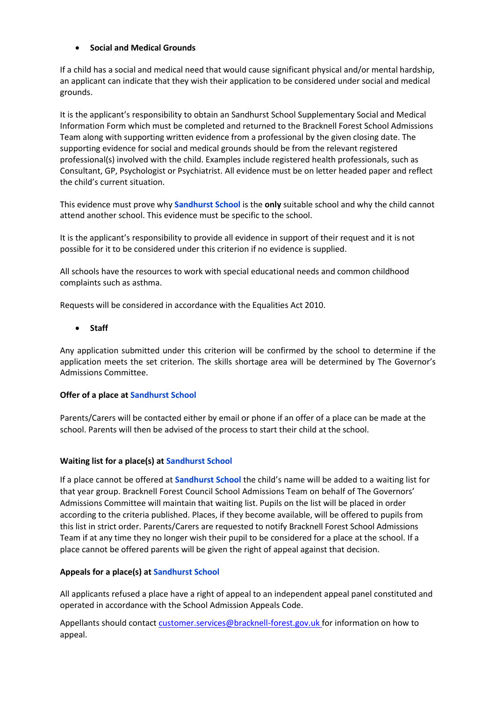## • **Social and Medical Grounds**

If a child has a social and medical need that would cause significant physical and/or mental hardship, an applicant can indicate that they wish their application to be considered under social and medical grounds.

It is the applicant's responsibility to obtain an Sandhurst School Supplementary Social and Medical Information Form which must be completed and returned to the Bracknell Forest School Admissions Team along with supporting written evidence from a professional by the given closing date. The supporting evidence for social and medical grounds should be from the relevant registered professional(s) involved with the child. Examples include registered health professionals, such as Consultant, GP, Psychologist or Psychiatrist. All evidence must be on letter headed paper and reflect the child's current situation.

This evidence must prove why **Sandhurst School** is the **only** suitable school and why the child cannot attend another school. This evidence must be specific to the school.

It is the applicant's responsibility to provide all evidence in support of their request and it is not possible for it to be considered under this criterion if no evidence is supplied.

All schools have the resources to work with special educational needs and common childhood complaints such as asthma.

Requests will be considered in accordance with the Equalities Act 2010.

## • **Staff**

Any application submitted under this criterion will be confirmed by the school to determine if the application meets the set criterion. The skills shortage area will be determined by The Governor's Admissions Committee.

## **Offer of a place at Sandhurst School**

Parents/Carers will be contacted either by email or phone if an offer of a place can be made at the school. Parents will then be advised of the process to start their child at the school.

## **Waiting list for a place(s) at Sandhurst School**

If a place cannot be offered at **Sandhurst School** the child's name will be added to a waiting list for that year group. Bracknell Forest Council School Admissions Team on behalf of The Governors' Admissions Committee will maintain that waiting list. Pupils on the list will be placed in order according to the criteria published. Places, if they become available, will be offered to pupils from this list in strict order. Parents/Carers are requested to notify Bracknell Forest School Admissions Team if at any time they no longer wish their pupil to be considered for a place at the school. If a place cannot be offered parents will be given the right of appeal against that decision.

## **Appeals for a place(s) at Sandhurst School**

All applicants refused a place have a right of appeal to an independent appeal panel constituted and operated in accordance with the School Admission Appeals Code.

Appellants should contact customer.services@bracknell-forest.gov.uk for information on how to appeal.